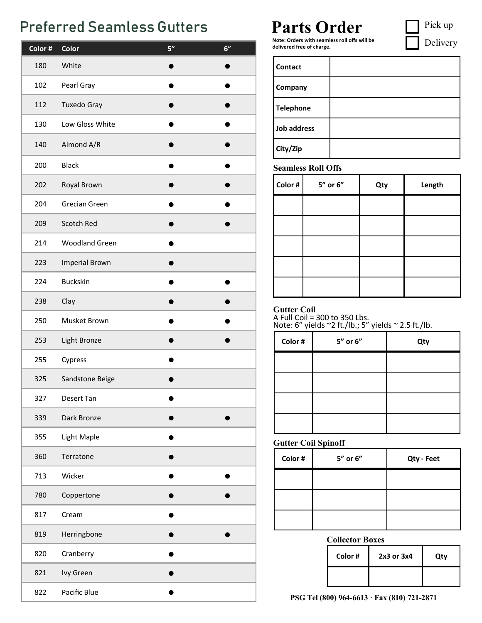## **Preferred Seamless Gutters Parts Order Canada Pick up** Pick up

| Color# | Color                 | $\overline{5}$ " | 6" |
|--------|-----------------------|------------------|----|
| 180    | White                 |                  |    |
| 102    | Pearl Gray            |                  |    |
| 112    | Tuxedo Gray           |                  |    |
| 130    | Low Gloss White       |                  |    |
| 140    | Almond A/R            |                  |    |
| 200    | <b>Black</b>          |                  |    |
| 202    | Royal Brown           |                  |    |
| 204    | <b>Grecian Green</b>  |                  |    |
| 209    | Scotch Red            |                  |    |
| 214    | <b>Woodland Green</b> |                  |    |
| 223    | <b>Imperial Brown</b> |                  |    |
| 224    | <b>Buckskin</b>       |                  |    |
| 238    | Clay                  |                  |    |
| 250    | Musket Brown          |                  |    |
| 253    | Light Bronze          |                  |    |
| 255    | Cypress               |                  |    |
| 325    | Sandstone Beige       |                  |    |
| 327    | <b>Desert Tan</b>     |                  |    |
| 339    | Dark Bronze           |                  |    |
| 355    | Light Maple           |                  |    |
| 360    | Terratone             |                  |    |
| 713    | Wicker                |                  |    |
| 780    | Coppertone            |                  |    |
| 817    | Cream                 |                  |    |
| 819    | Herringbone           |                  |    |
| 820    | Cranberry             |                  |    |
| 821    | Ivy Green             |                  |    |
| 822    | Pacific Blue          |                  |    |

Delivery

**Note: Orders with seamless roll offs will be delivered free of charge.**

| <b>Contact</b>   |  |
|------------------|--|
| <b>Company</b>   |  |
| <b>Telephone</b> |  |
| Job address      |  |
| City/Zip         |  |

### **Seamless Roll Offs**

| Color # | 5" or 6" | Qty | Length |
|---------|----------|-----|--------|
|         |          |     |        |
|         |          |     |        |
|         |          |     |        |
|         |          |     |        |
|         |          |     |        |

### **Gutter Coil**

Note: 6" yields ~2 ft./lb.; 5" yields ~ 2.5 ft./lb. A Full Coil = 300 to 350 Lbs.

| Color # | 5" or 6" | Qty |
|---------|----------|-----|
|         |          |     |
|         |          |     |
|         |          |     |
|         |          |     |

### **Gutter Coil Spinoff**

| Color# | 5" or 6" | Qty - Feet |
|--------|----------|------------|
|        |          |            |
|        |          |            |
|        |          |            |

### **Collector Boxes**

| Color# | 2x3 or 3x4 | Qty |
|--------|------------|-----|
|        |            |     |

**PSG Tel (800) 964-6613 · Fax (810) 721-2871**